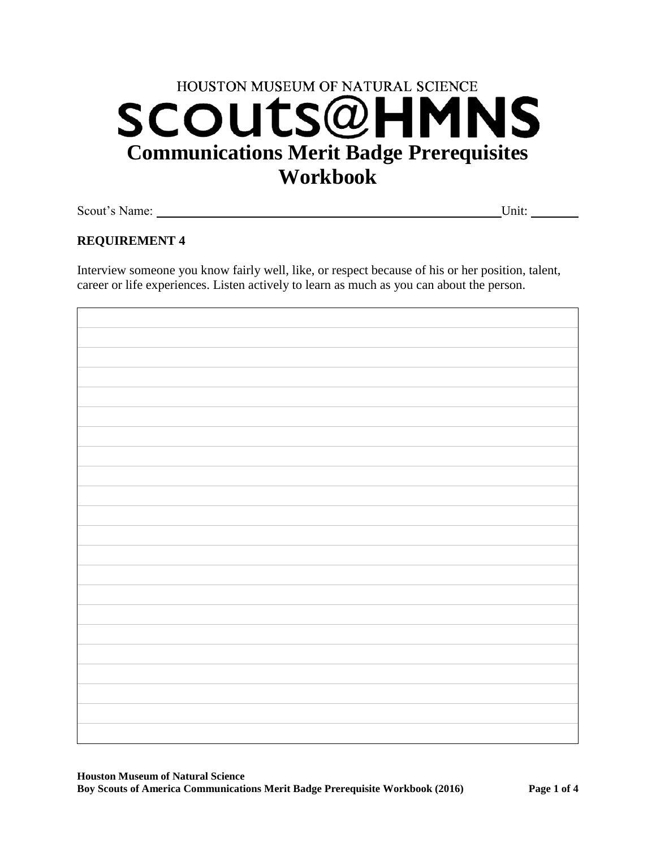# HOUSTON MUSEUM OF NATURAL SCIENCE **SCOUTS@HMNS Communications Merit Badge Prerequisites Workbook**

Scout's Name: Unit:

# **REQUIREMENT 4**

Interview someone you know fairly well, like, or respect because of his or her position, talent, career or life experiences. Listen actively to learn as much as you can about the person.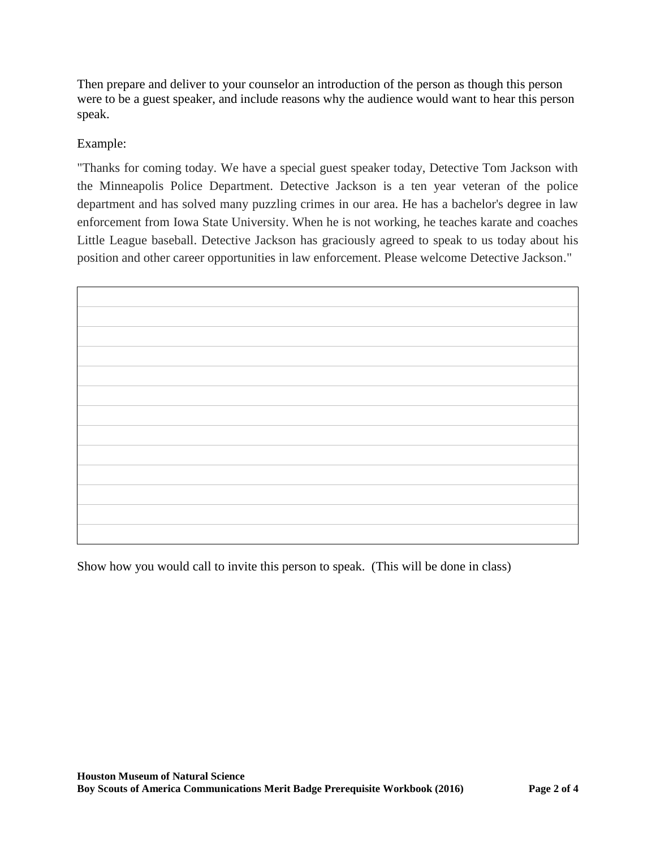Then prepare and deliver to your counselor an introduction of the person as though this person were to be a guest speaker, and include reasons why the audience would want to hear this person speak.

## Example:

"Thanks for coming today. We have a special guest speaker today, Detective Tom Jackson with the Minneapolis Police Department. Detective Jackson is a ten year veteran of the police department and has solved many puzzling crimes in our area. He has a bachelor's degree in law enforcement from Iowa State University. When he is not working, he teaches karate and coaches Little League baseball. Detective Jackson has graciously agreed to speak to us today about his position and other career opportunities in law enforcement. Please welcome Detective Jackson."



Show how you would call to invite this person to speak. (This will be done in class)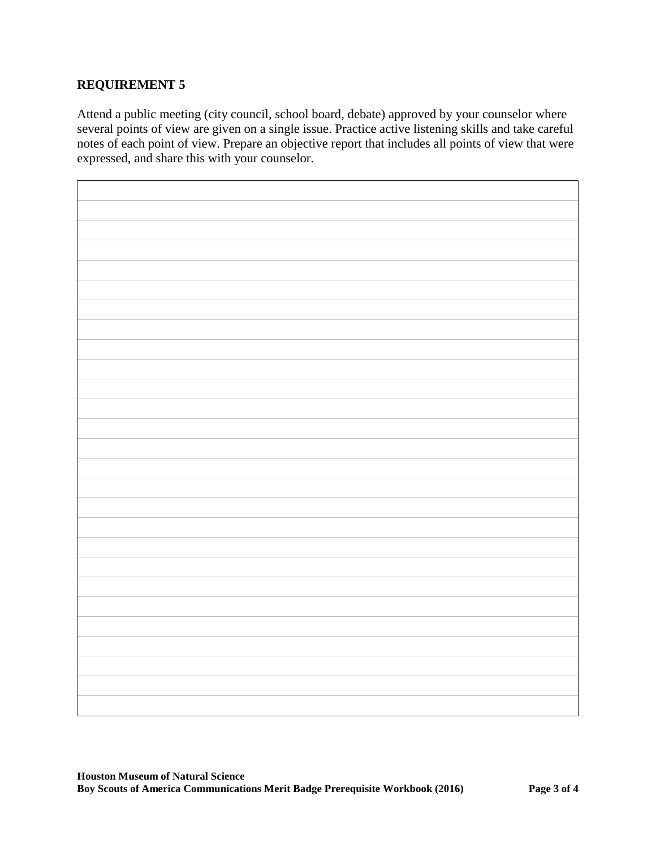## **REQUIREMENT 5**

Attend a public meeting (city council, school board, debate) approved by your counselor where several points of view are given on a single issue. Practice active listening skills and take careful notes of each point of view. Prepare an objective report that includes all points of view that were expressed, and share this with your counselor.